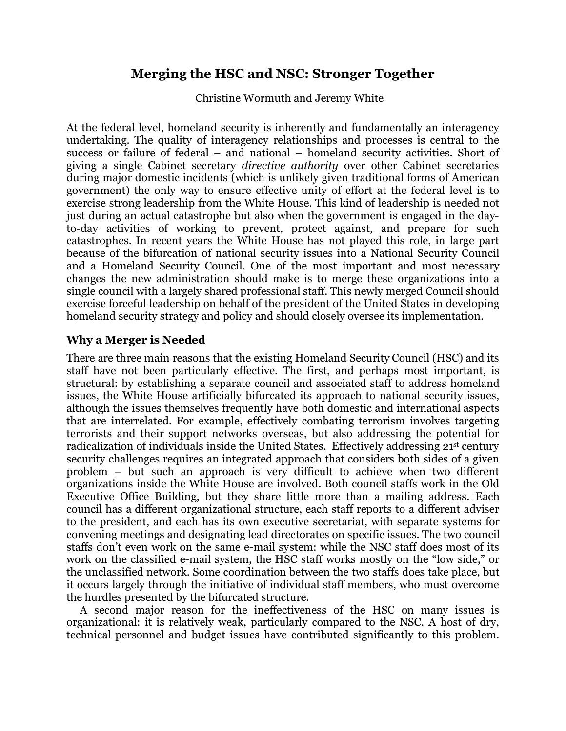# **Merging the HSC and NSC: Stronger Together**

Christine Wormuth and Jeremy White

At the federal level, homeland security is inherently and fundamentally an interagency undertaking. The quality of interagency relationships and processes is central to the success or failure of federal – and national – homeland security activities. Short of giving a single Cabinet secretary *directive authority* over other Cabinet secretaries during major domestic incidents (which is unlikely given traditional forms of American government) the only way to ensure effective unity of effort at the federal level is to exercise strong leadership from the White House. This kind of leadership is needed not just during an actual catastrophe but also when the government is engaged in the dayto-day activities of working to prevent, protect against, and prepare for such catastrophes. In recent years the White House has not played this role, in large part because of the bifurcation of national security issues into a National Security Council and a Homeland Security Council. One of the most important and most necessary changes the new administration should make is to merge these organizations into a single council with a largely shared professional staff. This newly merged Council should exercise forceful leadership on behalf of the president of the United States in developing homeland security strategy and policy and should closely oversee its implementation.

## **Why a Merger is Needed**

There are three main reasons that the existing Homeland Security Council (HSC) and its staff have not been particularly effective. The first, and perhaps most important, is structural: by establishing a separate council and associated staff to address homeland issues, the White House artificially bifurcated its approach to national security issues, although the issues themselves frequently have both domestic and international aspects that are interrelated. For example, effectively combating terrorism involves targeting terrorists and their support networks overseas, but also addressing the potential for radicalization of individuals inside the United States. Effectively addressing 21<sup>st</sup> century security challenges requires an integrated approach that considers both sides of a given problem – but such an approach is very difficult to achieve when two different organizations inside the White House are involved. Both council staffs work in the Old Executive Office Building, but they share little more than a mailing address. Each council has a different organizational structure, each staff reports to a different adviser to the president, and each has its own executive secretariat, with separate systems for convening meetings and designating lead directorates on specific issues. The two council staffs don't even work on the same e-mail system: while the NSC staff does most of its work on the classified e-mail system, the HSC staff works mostly on the "low side," or the unclassified network. Some coordination between the two staffs does take place, but it occurs largely through the initiative of individual staff members, who must overcome the hurdles presented by the bifurcated structure.

A second major reason for the ineffectiveness of the HSC on many issues is organizational: it is relatively weak, particularly compared to the NSC. A host of dry, technical personnel and budget issues have contributed significantly to this problem.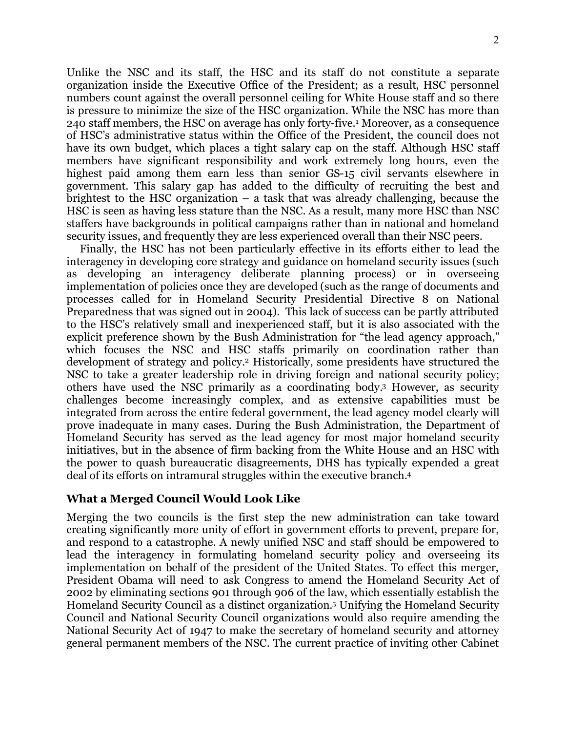Unlike the NSC and its staff, the HSC and its staff do not constitute a separate organization inside the Executive Office of the President; as a result, HSC personnel numbers count against the overall personnel ceiling for White House staff and so there is pressure to minimize the size of the HSC organization. While the NSC has more than 240 staff members, the HSC on average has only forty-five.1 Moreover, as a consequence of HSC's administrative status within the Office of the President, the council does not have its own budget, which places a tight salary cap on the staff. Although HSC staff members have significant responsibility and work extremely long hours, even the highest paid among them earn less than senior GS-15 civil servants elsewhere in government. This salary gap has added to the difficulty of recruiting the best and brightest to the HSC organization – a task that was already challenging, because the HSC is seen as having less stature than the NSC. As a result, many more HSC than NSC staffers have backgrounds in political campaigns rather than in national and homeland security issues, and frequently they are less experienced overall than their NSC peers.

Finally, the HSC has not been particularly effective in its efforts either to lead the interagency in developing core strategy and guidance on homeland security issues (such as developing an interagency deliberate planning process) or in overseeing implementation of policies once they are developed (such as the range of documents and processes called for in Homeland Security Presidential Directive 8 on National Preparedness that was signed out in 2004). This lack of success can be partly attributed to the HSC's relatively small and inexperienced staff, but it is also associated with the explicit preference shown by the Bush Administration for "the lead agency approach," which focuses the NSC and HSC staffs primarily on coordination rather than development of strategy and policy.2 Historically, some presidents have structured the NSC to take a greater leadership role in driving foreign and national security policy; others have used the NSC primarily as a coordinating body.3 However, as security challenges become increasingly complex, and as extensive capabilities must be integrated from across the entire federal government, the lead agency model clearly will prove inadequate in many cases. During the Bush Administration, the Department of Homeland Security has served as the lead agency for most major homeland security initiatives, but in the absence of firm backing from the White House and an HSC with the power to quash bureaucratic disagreements, DHS has typically expended a great deal of its efforts on intramural struggles within the executive branch.4

## **What a Merged Council Would Look Like**

Merging the two councils is the first step the new administration can take toward creating significantly more unity of effort in government efforts to prevent, prepare for, and respond to a catastrophe. A newly unified NSC and staff should be empowered to lead the interagency in formulating homeland security policy and overseeing its implementation on behalf of the president of the United States. To effect this merger, President Obama will need to ask Congress to amend the Homeland Security Act of 2002 by eliminating sections 901 through 906 of the law, which essentially establish the Homeland Security Council as a distinct organization. 5 Unifying the Homeland Security Council and National Security Council organizations would also require amending the National Security Act of 1947 to make the secretary of homeland security and attorney general permanent members of the NSC. The current practice of inviting other Cabinet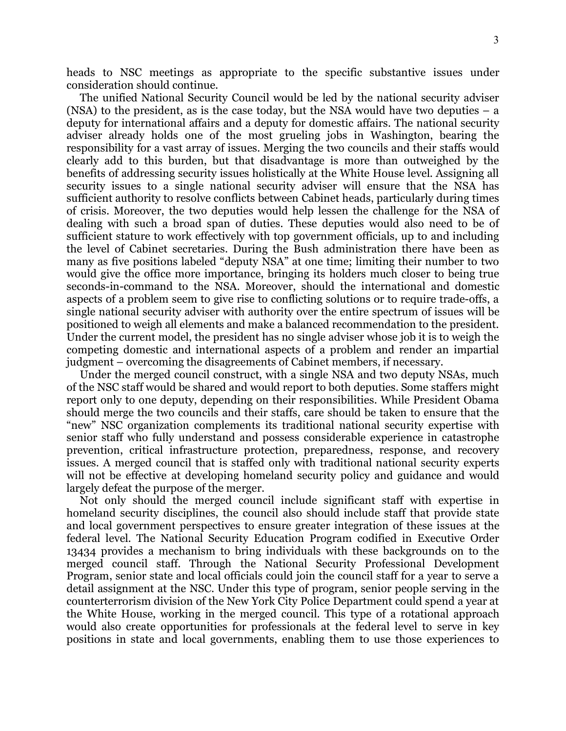heads to NSC meetings as appropriate to the specific substantive issues under consideration should continue.

The unified National Security Council would be led by the national security adviser (NSA) to the president, as is the case today, but the NSA would have two deputies – a deputy for international affairs and a deputy for domestic affairs. The national security adviser already holds one of the most grueling jobs in Washington, bearing the responsibility for a vast array of issues. Merging the two councils and their staffs would clearly add to this burden, but that disadvantage is more than outweighed by the benefits of addressing security issues holistically at the White House level. Assigning all security issues to a single national security adviser will ensure that the NSA has sufficient authority to resolve conflicts between Cabinet heads, particularly during times of crisis. Moreover, the two deputies would help lessen the challenge for the NSA of dealing with such a broad span of duties. These deputies would also need to be of sufficient stature to work effectively with top government officials, up to and including the level of Cabinet secretaries. During the Bush administration there have been as many as five positions labeled "deputy NSA" at one time; limiting their number to two would give the office more importance, bringing its holders much closer to being true seconds-in-command to the NSA. Moreover, should the international and domestic aspects of a problem seem to give rise to conflicting solutions or to require trade-offs, a single national security adviser with authority over the entire spectrum of issues will be positioned to weigh all elements and make a balanced recommendation to the president. Under the current model, the president has no single adviser whose job it is to weigh the competing domestic and international aspects of a problem and render an impartial judgment – overcoming the disagreements of Cabinet members, if necessary.

Under the merged council construct, with a single NSA and two deputy NSAs, much of the NSC staff would be shared and would report to both deputies. Some staffers might report only to one deputy, depending on their responsibilities. While President Obama should merge the two councils and their staffs, care should be taken to ensure that the "new" NSC organization complements its traditional national security expertise with senior staff who fully understand and possess considerable experience in catastrophe prevention, critical infrastructure protection, preparedness, response, and recovery issues. A merged council that is staffed only with traditional national security experts will not be effective at developing homeland security policy and guidance and would largely defeat the purpose of the merger.

Not only should the merged council include significant staff with expertise in homeland security disciplines, the council also should include staff that provide state and local government perspectives to ensure greater integration of these issues at the federal level. The National Security Education Program codified in Executive Order 13434 provides a mechanism to bring individuals with these backgrounds on to the merged council staff. Through the National Security Professional Development Program, senior state and local officials could join the council staff for a year to serve a detail assignment at the NSC. Under this type of program, senior people serving in the counterterrorism division of the New York City Police Department could spend a year at the White House, working in the merged council. This type of a rotational approach would also create opportunities for professionals at the federal level to serve in key positions in state and local governments, enabling them to use those experiences to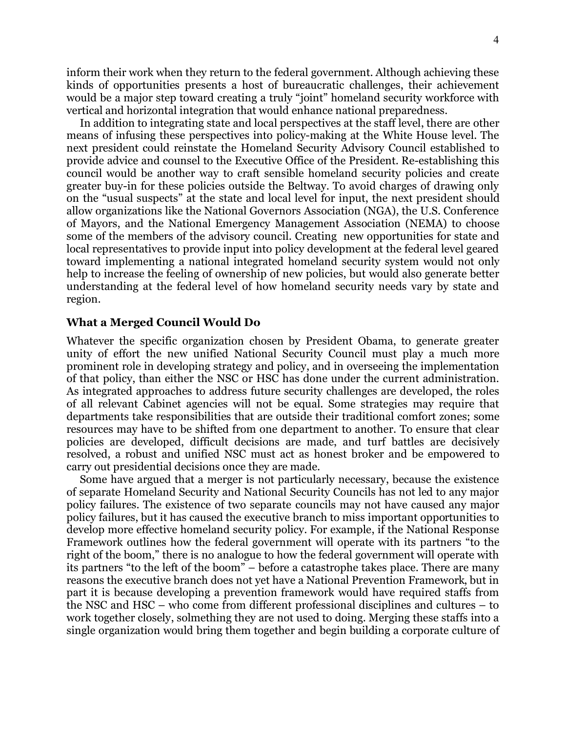inform their work when they return to the federal government. Although achieving these kinds of opportunities presents a host of bureaucratic challenges, their achievement would be a major step toward creating a truly "joint" homeland security workforce with vertical and horizontal integration that would enhance national preparedness.

In addition to integrating state and local perspectives at the staff level, there are other means of infusing these perspectives into policy-making at the White House level. The next president could reinstate the Homeland Security Advisory Council established to provide advice and counsel to the Executive Office of the President. Re-establishing this council would be another way to craft sensible homeland security policies and create greater buy-in for these policies outside the Beltway. To avoid charges of drawing only on the "usual suspects" at the state and local level for input, the next president should allow organizations like the National Governors Association (NGA), the U.S. Conference of Mayors, and the National Emergency Management Association (NEMA) to choose some of the members of the advisory council. Creating new opportunities for state and local representatives to provide input into policy development at the federal level geared toward implementing a national integrated homeland security system would not only help to increase the feeling of ownership of new policies, but would also generate better understanding at the federal level of how homeland security needs vary by state and region.

### **What a Merged Council Would Do**

Whatever the specific organization chosen by President Obama, to generate greater unity of effort the new unified National Security Council must play a much more prominent role in developing strategy and policy, and in overseeing the implementation of that policy, than either the NSC or HSC has done under the current administration. As integrated approaches to address future security challenges are developed, the roles of all relevant Cabinet agencies will not be equal. Some strategies may require that departments take responsibilities that are outside their traditional comfort zones; some resources may have to be shifted from one department to another. To ensure that clear policies are developed, difficult decisions are made, and turf battles are decisively resolved, a robust and unified NSC must act as honest broker and be empowered to carry out presidential decisions once they are made.

Some have argued that a merger is not particularly necessary, because the existence of separate Homeland Security and National Security Councils has not led to any major policy failures. The existence of two separate councils may not have caused any major policy failures, but it has caused the executive branch to miss important opportunities to develop more effective homeland security policy. For example, if the National Response Framework outlines how the federal government will operate with its partners "to the right of the boom," there is no analogue to how the federal government will operate with its partners "to the left of the boom" – before a catastrophe takes place. There are many reasons the executive branch does not yet have a National Prevention Framework, but in part it is because developing a prevention framework would have required staffs from the NSC and HSC – who come from different professional disciplines and cultures – to work together closely, solmething they are not used to doing. Merging these staffs into a single organization would bring them together and begin building a corporate culture of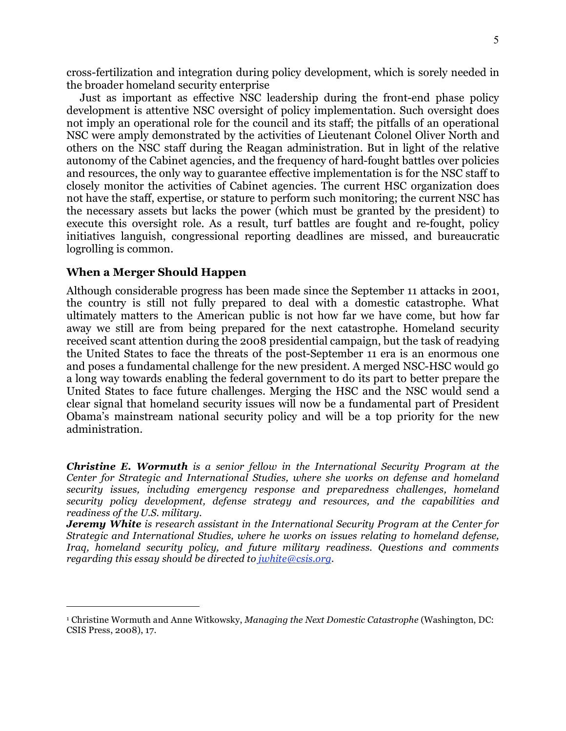cross-fertilization and integration during policy development, which is sorely needed in the broader homeland security enterprise

Just as important as effective NSC leadership during the front-end phase policy development is attentive NSC oversight of policy implementation. Such oversight does not imply an operational role for the council and its staff; the pitfalls of an operational NSC were amply demonstrated by the activities of Lieutenant Colonel Oliver North and others on the NSC staff during the Reagan administration. But in light of the relative autonomy of the Cabinet agencies, and the frequency of hard-fought battles over policies and resources, the only way to guarantee effective implementation is for the NSC staff to closely monitor the activities of Cabinet agencies. The current HSC organization does not have the staff, expertise, or stature to perform such monitoring; the current NSC has the necessary assets but lacks the power (which must be granted by the president) to execute this oversight role. As a result, turf battles are fought and re-fought, policy initiatives languish, congressional reporting deadlines are missed, and bureaucratic logrolling is common.

### **When a Merger Should Happen**

 $\overline{a}$ 

Although considerable progress has been made since the September 11 attacks in 2001, the country is still not fully prepared to deal with a domestic catastrophe. What ultimately matters to the American public is not how far we have come, but how far away we still are from being prepared for the next catastrophe. Homeland security received scant attention during the 2008 presidential campaign, but the task of readying the United States to face the threats of the post-September 11 era is an enormous one and poses a fundamental challenge for the new president. A merged NSC-HSC would go a long way towards enabling the federal government to do its part to better prepare the United States to face future challenges. Merging the HSC and the NSC would send a clear signal that homeland security issues will now be a fundamental part of President Obama's mainstream national security policy and will be a top priority for the new administration.

*Christine E. Wormuth is a senior fellow in the International Security Program at the Center for Strategic and International Studies, where she works on defense and homeland security issues, including emergency response and preparedness challenges, homeland security policy development, defense strategy and resources, and the capabilities and readiness of the U.S. military.*

*Jeremy White is research assistant in the International Security Program at the Center for Strategic and International Studies, where he works on issues relating to homeland defense, Iraq, homeland security policy, and future military readiness. Questions and comments regarding this essay should be directed to jwhite@csis.org.*

<sup>1</sup> Christine Wormuth and Anne Witkowsky, *Managing the Next Domestic Catastrophe* (Washington, DC: CSIS Press, 2008), 17.